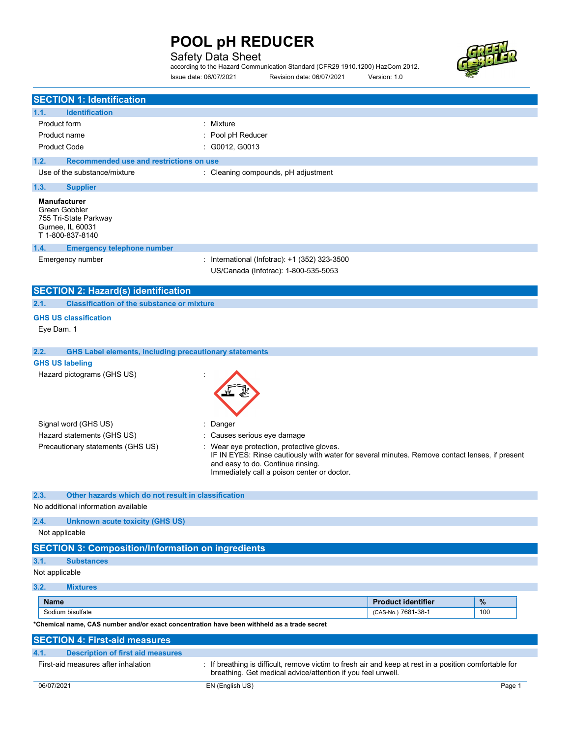### Safety Data Sheet

according to the Hazard Communication Standard (CFR29 1910.1200) HazCom 2012. Issue date: 06/07/2021 Revision date: 06/07/2021 Version: 1.0



| <b>SECTION 1: Identification</b>                                                                      |                                                                                                                                                                                                                               |                           |        |
|-------------------------------------------------------------------------------------------------------|-------------------------------------------------------------------------------------------------------------------------------------------------------------------------------------------------------------------------------|---------------------------|--------|
| <b>Identification</b><br>1.1.                                                                         |                                                                                                                                                                                                                               |                           |        |
| <b>Product form</b>                                                                                   | : Mixture                                                                                                                                                                                                                     |                           |        |
| Product name                                                                                          | Pool pH Reducer                                                                                                                                                                                                               |                           |        |
| <b>Product Code</b>                                                                                   | G0012, G0013                                                                                                                                                                                                                  |                           |        |
| Recommended use and restrictions on use<br>1.2.                                                       |                                                                                                                                                                                                                               |                           |        |
| Use of the substance/mixture                                                                          | : Cleaning compounds, pH adjustment                                                                                                                                                                                           |                           |        |
|                                                                                                       |                                                                                                                                                                                                                               |                           |        |
| 1.3.<br><b>Supplier</b>                                                                               |                                                                                                                                                                                                                               |                           |        |
| <b>Manufacturer</b><br>Green Gobbler<br>755 Tri-State Parkway<br>Gurnee, IL 60031<br>T 1-800-837-8140 |                                                                                                                                                                                                                               |                           |        |
| 1.4.<br><b>Emergency telephone number</b>                                                             |                                                                                                                                                                                                                               |                           |        |
| Emergency number                                                                                      | International (Infotrac): +1 (352) 323-3500                                                                                                                                                                                   |                           |        |
|                                                                                                       | US/Canada (Infotrac): 1-800-535-5053                                                                                                                                                                                          |                           |        |
|                                                                                                       |                                                                                                                                                                                                                               |                           |        |
| <b>SECTION 2: Hazard(s) identification</b>                                                            |                                                                                                                                                                                                                               |                           |        |
| 2.1.<br><b>Classification of the substance or mixture</b>                                             |                                                                                                                                                                                                                               |                           |        |
| <b>GHS US classification</b>                                                                          |                                                                                                                                                                                                                               |                           |        |
| Eye Dam. 1                                                                                            |                                                                                                                                                                                                                               |                           |        |
|                                                                                                       |                                                                                                                                                                                                                               |                           |        |
| 2.2.<br><b>GHS Label elements, including precautionary statements</b>                                 |                                                                                                                                                                                                                               |                           |        |
|                                                                                                       |                                                                                                                                                                                                                               |                           |        |
| <b>GHS US labeling</b><br>Hazard pictograms (GHS US)                                                  |                                                                                                                                                                                                                               |                           |        |
|                                                                                                       |                                                                                                                                                                                                                               |                           |        |
| Signal word (GHS US)                                                                                  | Danger                                                                                                                                                                                                                        |                           |        |
| Hazard statements (GHS US)                                                                            | Causes serious eye damage                                                                                                                                                                                                     |                           |        |
| Precautionary statements (GHS US)                                                                     | Wear eye protection, protective gloves.<br>IF IN EYES: Rinse cautiously with water for several minutes. Remove contact lenses, if present<br>and easy to do. Continue rinsing.<br>Immediately call a poison center or doctor. |                           |        |
|                                                                                                       |                                                                                                                                                                                                                               |                           |        |
| 2.3.<br>Other hazards which do not result in classification                                           |                                                                                                                                                                                                                               |                           |        |
| No additional information available                                                                   |                                                                                                                                                                                                                               |                           |        |
| 2.4.<br><b>Unknown acute toxicity (GHS US)</b>                                                        |                                                                                                                                                                                                                               |                           |        |
| Not applicable                                                                                        |                                                                                                                                                                                                                               |                           |        |
| <b>SECTION 3: Composition/Information on ingredients</b>                                              |                                                                                                                                                                                                                               |                           |        |
|                                                                                                       |                                                                                                                                                                                                                               |                           |        |
| 3.1.<br><b>Substances</b>                                                                             |                                                                                                                                                                                                                               |                           |        |
| Not applicable                                                                                        |                                                                                                                                                                                                                               |                           |        |
| 3.2.<br><b>Mixtures</b>                                                                               |                                                                                                                                                                                                                               |                           |        |
| <b>Name</b>                                                                                           |                                                                                                                                                                                                                               | <b>Product identifier</b> | $\%$   |
| Sodium bisulfate                                                                                      |                                                                                                                                                                                                                               | (CAS-No.) 7681-38-1       | 100    |
| *Chemical name, CAS number and/or exact concentration have been withheld as a trade secret            |                                                                                                                                                                                                                               |                           |        |
|                                                                                                       |                                                                                                                                                                                                                               |                           |        |
| <b>SECTION 4: First-aid measures</b>                                                                  |                                                                                                                                                                                                                               |                           |        |
| <b>Description of first aid measures</b><br>4.1.                                                      |                                                                                                                                                                                                                               |                           |        |
| First-aid measures after inhalation                                                                   | : If breathing is difficult, remove victim to fresh air and keep at rest in a position comfortable for<br>breathing. Get medical advice/attention if you feel unwell.                                                         |                           |        |
| 06/07/2021                                                                                            | EN (English US)                                                                                                                                                                                                               |                           | Page 1 |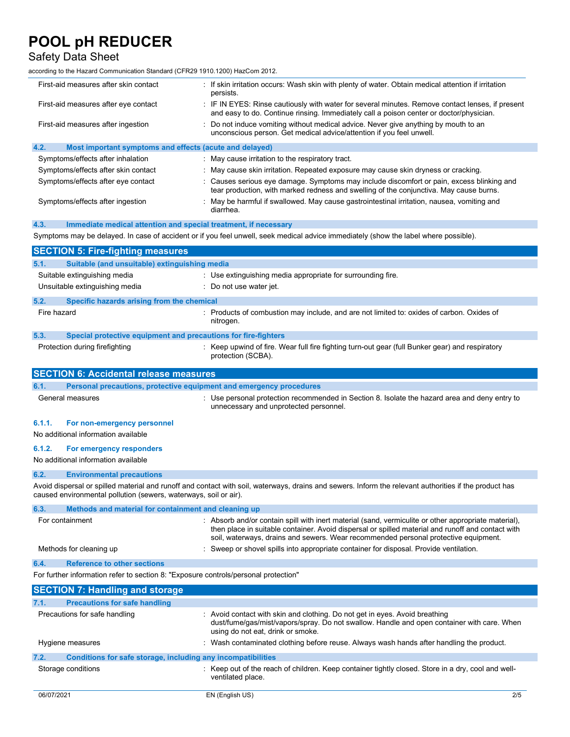### Safety Data Sheet

according to the Hazard Communication Standard (CFR29 1910.1200) HazCom 2012.

| First-aid measures after skin contact                                               | f skin irritation occurs: Wash skin with plenty of water. Obtain medical attention if irritation:<br>persists.                                                                                                                                                                                 |
|-------------------------------------------------------------------------------------|------------------------------------------------------------------------------------------------------------------------------------------------------------------------------------------------------------------------------------------------------------------------------------------------|
| First-aid measures after eye contact                                                | IF IN EYES: Rinse cautiously with water for several minutes. Remove contact lenses, if present<br>and easy to do. Continue rinsing. Immediately call a poison center or doctor/physician.                                                                                                      |
| First-aid measures after ingestion                                                  | Do not induce vomiting without medical advice. Never give anything by mouth to an<br>unconscious person. Get medical advice/attention if you feel unwell.                                                                                                                                      |
| 4.2.<br>Most important symptoms and effects (acute and delayed)                     |                                                                                                                                                                                                                                                                                                |
| Symptoms/effects after inhalation                                                   | : May cause irritation to the respiratory tract.                                                                                                                                                                                                                                               |
| Symptoms/effects after skin contact                                                 | May cause skin irritation. Repeated exposure may cause skin dryness or cracking.                                                                                                                                                                                                               |
| Symptoms/effects after eye contact                                                  | : Causes serious eye damage. Symptoms may include discomfort or pain, excess blinking and<br>tear production, with marked redness and swelling of the conjunctiva. May cause burns.                                                                                                            |
| Symptoms/effects after ingestion                                                    | : May be harmful if swallowed. May cause gastrointestinal irritation, nausea, vomiting and<br>diarrhea.                                                                                                                                                                                        |
| 4.3.<br>Immediate medical attention and special treatment, if necessary             |                                                                                                                                                                                                                                                                                                |
|                                                                                     | Symptoms may be delayed. In case of accident or if you feel unwell, seek medical advice immediately (show the label where possible).                                                                                                                                                           |
| <b>SECTION 5: Fire-fighting measures</b>                                            |                                                                                                                                                                                                                                                                                                |
| Suitable (and unsuitable) extinguishing media<br>5.1.                               |                                                                                                                                                                                                                                                                                                |
| Suitable extinguishing media                                                        | : Use extinguishing media appropriate for surrounding fire.                                                                                                                                                                                                                                    |
| Unsuitable extinguishing media                                                      | Do not use water jet.                                                                                                                                                                                                                                                                          |
| 5.2.<br>Specific hazards arising from the chemical                                  |                                                                                                                                                                                                                                                                                                |
| Fire hazard                                                                         | : Products of combustion may include, and are not limited to: oxides of carbon. Oxides of<br>nitrogen.                                                                                                                                                                                         |
| 5.3.<br>Special protective equipment and precautions for fire-fighters              |                                                                                                                                                                                                                                                                                                |
| Protection during firefighting                                                      | : Keep upwind of fire. Wear full fire fighting turn-out gear (full Bunker gear) and respiratory<br>protection (SCBA).                                                                                                                                                                          |
| <b>SECTION 6: Accidental release measures</b>                                       |                                                                                                                                                                                                                                                                                                |
|                                                                                     |                                                                                                                                                                                                                                                                                                |
| 6.1.<br>Personal precautions, protective equipment and emergency procedures         |                                                                                                                                                                                                                                                                                                |
| General measures                                                                    | Use personal protection recommended in Section 8. Isolate the hazard area and deny entry to<br>unnecessary and unprotected personnel.                                                                                                                                                          |
| 6.1.1.<br>For non-emergency personnel                                               |                                                                                                                                                                                                                                                                                                |
| No additional information available                                                 |                                                                                                                                                                                                                                                                                                |
|                                                                                     |                                                                                                                                                                                                                                                                                                |
| 6.1.2.<br>For emergency responders<br>No additional information available           |                                                                                                                                                                                                                                                                                                |
| 6.2.<br><b>Environmental precautions</b>                                            |                                                                                                                                                                                                                                                                                                |
| caused environmental pollution (sewers, waterways, soil or air).                    | Avoid dispersal or spilled material and runoff and contact with soil, waterways, drains and sewers. Inform the relevant authorities if the product has                                                                                                                                         |
| Methods and material for containment and cleaning up<br>6.3.                        |                                                                                                                                                                                                                                                                                                |
| For containment                                                                     | Absorb and/or contain spill with inert material (sand, vermiculite or other appropriate material),<br>then place in suitable container. Avoid dispersal or spilled material and runoff and contact with<br>soil, waterways, drains and sewers. Wear recommended personal protective equipment. |
| Methods for cleaning up                                                             | Sweep or shovel spills into appropriate container for disposal. Provide ventilation.                                                                                                                                                                                                           |
| <b>Reference to other sections</b><br>6.4.                                          |                                                                                                                                                                                                                                                                                                |
| For further information refer to section 8: "Exposure controls/personal protection" |                                                                                                                                                                                                                                                                                                |
|                                                                                     |                                                                                                                                                                                                                                                                                                |
| <b>SECTION 7: Handling and storage</b>                                              |                                                                                                                                                                                                                                                                                                |
| <b>Precautions for safe handling</b><br>7.1.<br>Precautions for safe handling       | : Avoid contact with skin and clothing. Do not get in eyes. Avoid breathing<br>dust/fume/gas/mist/vapors/spray. Do not swallow. Handle and open container with care. When<br>using do not eat, drink or smoke.                                                                                 |
| Hygiene measures                                                                    | : Wash contaminated clothing before reuse. Always wash hands after handling the product.                                                                                                                                                                                                       |
| 7.2.<br>Conditions for safe storage, including any incompatibilities                |                                                                                                                                                                                                                                                                                                |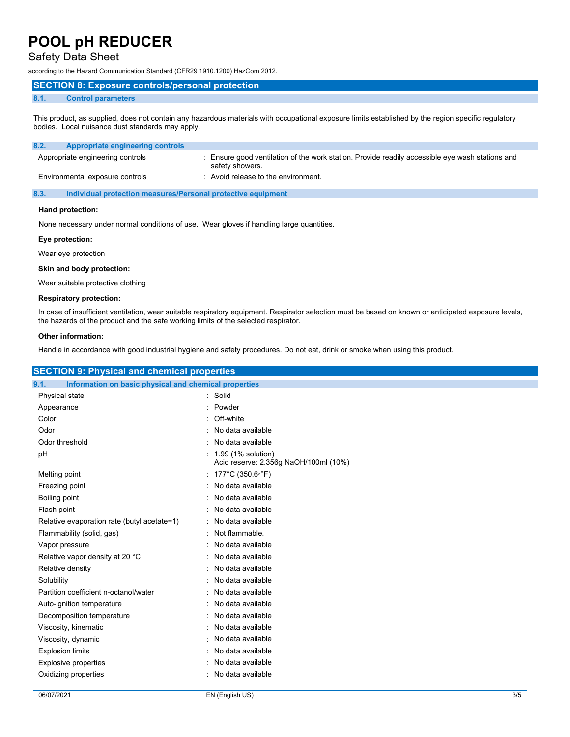### Safety Data Sheet

according to the Hazard Communication Standard (CFR29 1910.1200) HazCom 2012.

#### SECTION 8: Exposure controls/personal protection

#### 8.1. Control parameters

This product, as supplied, does not contain any hazardous materials with occupational exposure limits established by the region specific regulatory bodies. Local nuisance dust standards may apply.

| 8.2.<br>Appropriate engineering controls |                                                                                                                  |
|------------------------------------------|------------------------------------------------------------------------------------------------------------------|
| Appropriate engineering controls         | Ensure good ventilation of the work station. Provide readily accessible eye wash stations and<br>safety showers. |
| Environmental exposure controls          | Avoid release to the environment.                                                                                |

8.3. Individual protection measures/Personal protective equipment

#### Hand protection:

None necessary under normal conditions of use. Wear gloves if handling large quantities.

#### Eye protection:

Wear eye protection

#### Skin and body protection:

Wear suitable protective clothing

#### Respiratory protection:

In case of insufficient ventilation, wear suitable respiratory equipment. Respirator selection must be based on known or anticipated exposure levels, the hazards of the product and the safe working limits of the selected respirator.

#### Other information:

Handle in accordance with good industrial hygiene and safety procedures. Do not eat, drink or smoke when using this product.

| <b>SECTION 9: Physical and chemical properties</b>            |                                                             |  |
|---------------------------------------------------------------|-------------------------------------------------------------|--|
| 9.1.<br>Information on basic physical and chemical properties |                                                             |  |
| Physical state                                                | : Solid                                                     |  |
| Appearance                                                    | Powder                                                      |  |
| Color                                                         | Off-white                                                   |  |
| Odor                                                          | : No data available                                         |  |
| Odor threshold                                                | : No data available                                         |  |
| pH                                                            | 1.99 (1% solution)<br>Acid reserve: 2.356g NaOH/100ml (10%) |  |
| Melting point                                                 | : 177°C (350.6°F)                                           |  |
| Freezing point                                                | No data available                                           |  |
| Boiling point                                                 | : No data available                                         |  |
| Flash point                                                   | No data available                                           |  |
| Relative evaporation rate (butyl acetate=1)                   | : No data available                                         |  |
| Flammability (solid, gas)                                     | Not flammable.                                              |  |
| Vapor pressure                                                | No data available                                           |  |
| Relative vapor density at 20 °C                               | : No data available                                         |  |
| Relative density                                              | No data available                                           |  |
| Solubility                                                    | : No data available                                         |  |
| Partition coefficient n-octanol/water                         | No data available                                           |  |
| Auto-ignition temperature                                     | No data available                                           |  |
| Decomposition temperature                                     | : No data available                                         |  |
| Viscosity, kinematic                                          | : No data available                                         |  |
| Viscosity, dynamic                                            | : No data available                                         |  |
| <b>Explosion limits</b>                                       | No data available                                           |  |
| <b>Explosive properties</b>                                   | : No data available                                         |  |
| Oxidizing properties                                          | : No data available                                         |  |
|                                                               |                                                             |  |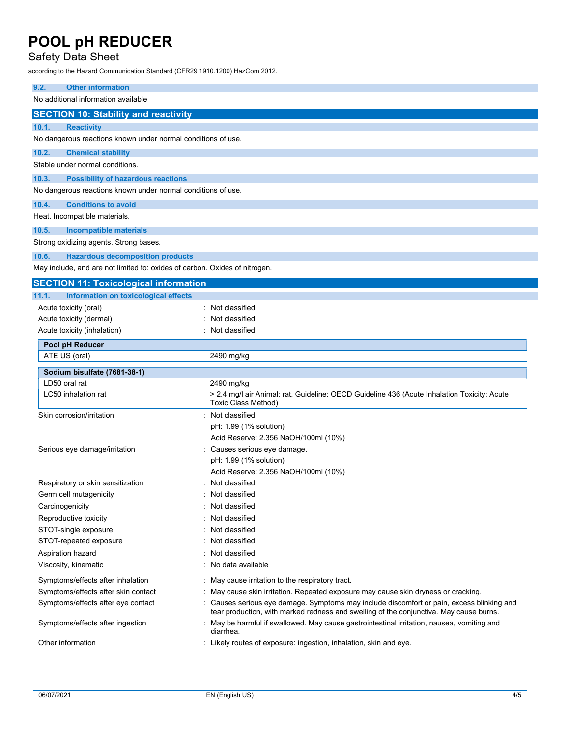### Safety Data Sheet

according to the Hazard Communication Standard (CFR29 1910.1200) HazCom 2012.

| 9.2.<br><b>Other information</b>                                           |                                                                                                                                                                                   |
|----------------------------------------------------------------------------|-----------------------------------------------------------------------------------------------------------------------------------------------------------------------------------|
| No additional information available                                        |                                                                                                                                                                                   |
| <b>SECTION 10: Stability and reactivity</b>                                |                                                                                                                                                                                   |
| 10.1.<br><b>Reactivity</b>                                                 |                                                                                                                                                                                   |
| No dangerous reactions known under normal conditions of use.               |                                                                                                                                                                                   |
| 10.2.<br><b>Chemical stability</b>                                         |                                                                                                                                                                                   |
| Stable under normal conditions.                                            |                                                                                                                                                                                   |
| 10.3.<br><b>Possibility of hazardous reactions</b>                         |                                                                                                                                                                                   |
| No dangerous reactions known under normal conditions of use.               |                                                                                                                                                                                   |
|                                                                            |                                                                                                                                                                                   |
| 10.4.<br><b>Conditions to avoid</b><br>Heat. Incompatible materials.       |                                                                                                                                                                                   |
|                                                                            |                                                                                                                                                                                   |
| 10.5.<br><b>Incompatible materials</b>                                     |                                                                                                                                                                                   |
| Strong oxidizing agents. Strong bases.                                     |                                                                                                                                                                                   |
| <b>Hazardous decomposition products</b><br>10.6.                           |                                                                                                                                                                                   |
| May include, and are not limited to: oxides of carbon. Oxides of nitrogen. |                                                                                                                                                                                   |
| <b>SECTION 11: Toxicological information</b>                               |                                                                                                                                                                                   |
| 11.1.<br>Information on toxicological effects                              |                                                                                                                                                                                   |
| Acute toxicity (oral)                                                      | Not classified                                                                                                                                                                    |
| Acute toxicity (dermal)                                                    | Not classified.                                                                                                                                                                   |
| Acute toxicity (inhalation)                                                | Not classified                                                                                                                                                                    |
| Pool pH Reducer                                                            |                                                                                                                                                                                   |
| ATE US (oral)                                                              | 2490 mg/kg                                                                                                                                                                        |
| Sodium bisulfate (7681-38-1)                                               |                                                                                                                                                                                   |
| LD50 oral rat                                                              | 2490 mg/kg                                                                                                                                                                        |
| LC50 inhalation rat                                                        | > 2.4 mg/l air Animal: rat, Guideline: OECD Guideline 436 (Acute Inhalation Toxicity: Acute<br>Toxic Class Method)                                                                |
| Skin corrosion/irritation                                                  | : Not classified.                                                                                                                                                                 |
|                                                                            | pH: 1.99 (1% solution)                                                                                                                                                            |
|                                                                            | Acid Reserve: 2.356 NaOH/100ml (10%)                                                                                                                                              |
| Serious eye damage/irritation                                              | Causes serious eye damage.                                                                                                                                                        |
|                                                                            | pH: 1.99 (1% solution)                                                                                                                                                            |
|                                                                            | Acid Reserve: 2.356 NaOH/100ml (10%)                                                                                                                                              |
| Respiratory or skin sensitization                                          | Not classified                                                                                                                                                                    |
| Germ cell mutagenicity                                                     | Not classified                                                                                                                                                                    |
| Carcinogenicity                                                            | Not classified                                                                                                                                                                    |
| Reproductive toxicity                                                      | Not classified                                                                                                                                                                    |
| STOT-single exposure                                                       | Not classified                                                                                                                                                                    |
| STOT-repeated exposure                                                     | Not classified                                                                                                                                                                    |
| Aspiration hazard                                                          | Not classified                                                                                                                                                                    |
| Viscosity, kinematic                                                       | No data available                                                                                                                                                                 |
| Symptoms/effects after inhalation                                          | May cause irritation to the respiratory tract.                                                                                                                                    |
| Symptoms/effects after skin contact                                        | May cause skin irritation. Repeated exposure may cause skin dryness or cracking.                                                                                                  |
| Symptoms/effects after eye contact                                         | Causes serious eye damage. Symptoms may include discomfort or pain, excess blinking and<br>tear production, with marked redness and swelling of the conjunctiva. May cause burns. |
| Symptoms/effects after ingestion                                           | May be harmful if swallowed. May cause gastrointestinal irritation, nausea, vomiting and<br>diarrhea.                                                                             |
| Other information                                                          | : Likely routes of exposure: ingestion, inhalation, skin and eye.                                                                                                                 |